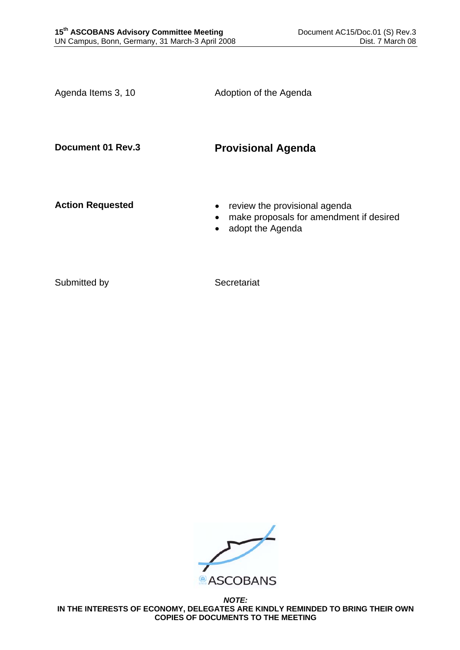| Agenda Items 3, 10      | Adoption of the Agenda                                                                                                 |
|-------------------------|------------------------------------------------------------------------------------------------------------------------|
| Document 01 Rev.3       | <b>Provisional Agenda</b>                                                                                              |
| <b>Action Requested</b> | review the provisional agenda<br>$\bullet$<br>make proposals for amendment if desired<br>adopt the Agenda<br>$\bullet$ |
|                         |                                                                                                                        |

Submitted by Secretariat



*NOTE:*  **IN THE INTERESTS OF ECONOMY, DELEGATES ARE KINDLY REMINDED TO BRING THEIR OWN COPIES OF DOCUMENTS TO THE MEETING**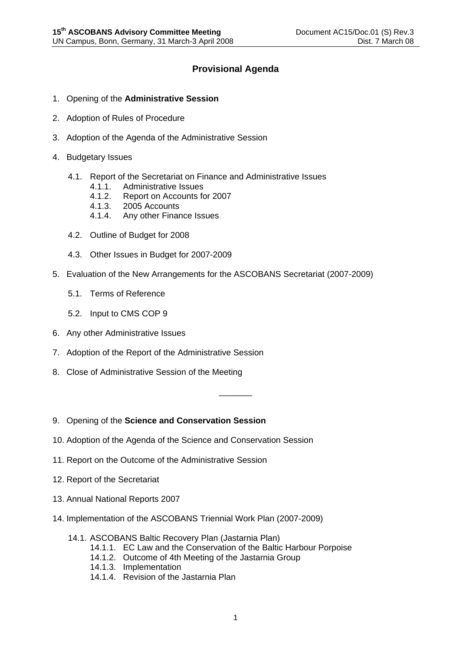## **Provisional Agenda**

- 1. Opening of the **Administrative Session**
- 2. Adoption of Rules of Procedure
- 3. Adoption of the Agenda of the Administrative Session
- 4. Budgetary Issues
	- 4.1. Report of the Secretariat on Finance and Administrative Issues
		- 4.1.1. Administrative Issues
		- 4.1.2. Report on Accounts for 2007
		- 4.1.3. 2005 Accounts
		- 4.1.4. Any other Finance Issues
	- 4.2. Outline of Budget for 2008
	- 4.3. Other Issues in Budget for 2007-2009
- 5. Evaluation of the New Arrangements for the ASCOBANS Secretariat (2007-2009)
	- 5.1. Terms of Reference
	- 5.2. Input to CMS COP 9
- 6. Any other Administrative Issues
- 7. Adoption of the Report of the Administrative Session
- 8. Close of Administrative Session of the Meeting
- 9. Opening of the **Science and Conservation Session**
- 10. Adoption of the Agenda of the Science and Conservation Session
- 11. Report on the Outcome of the Administrative Session
- 12. Report of the Secretariat
- 13. Annual National Reports 2007
- 14. Implementation of the ASCOBANS Triennial Work Plan (2007-2009)
	- 14.1. ASCOBANS Baltic Recovery Plan (Jastarnia Plan)
		- 14.1.1. EC Law and the Conservation of the Baltic Harbour Porpoise
		- 14.1.2. Outcome of 4th Meeting of the Jastarnia Group
		- 14.1.3. Implementation
		- 14.1.4. Revision of the Jastarnia Plan

\_\_\_\_\_\_\_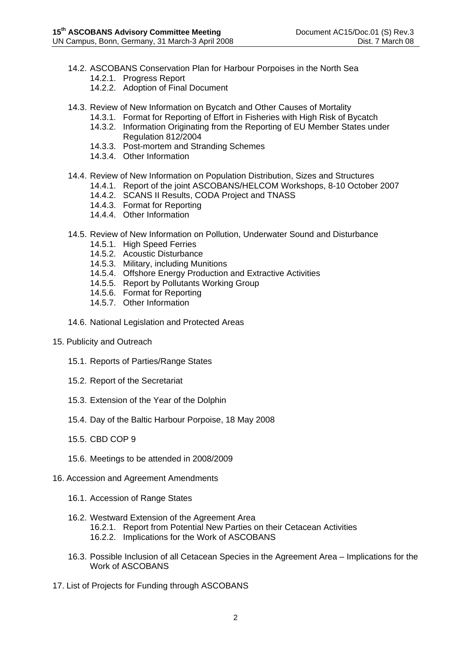- 14.2. ASCOBANS Conservation Plan for Harbour Porpoises in the North Sea 14.2.1. Progress Report
	-
	- 14.2.2. Adoption of Final Document
- 14.3. Review of New Information on Bycatch and Other Causes of Mortality
	- 14.3.1. Format for Reporting of Effort in Fisheries with High Risk of Bycatch
	- 14.3.2. Information Originating from the Reporting of EU Member States under
	- Regulation 812/2004
	- 14.3.3. Post-mortem and Stranding Schemes
	- 14.3.4. Other Information
- 14.4. Review of New Information on Population Distribution, Sizes and Structures
	- 14.4.1. Report of the joint ASCOBANS/HELCOM Workshops, 8-10 October 2007
		- 14.4.2. SCANS II Results, CODA Project and TNASS
		- 14.4.3. Format for Reporting
		- 14.4.4. Other Information
- 14.5. Review of New Information on Pollution, Underwater Sound and Disturbance
	- 14.5.1. High Speed Ferries
	- 14.5.2. Acoustic Disturbance
	- 14.5.3. Military, including Munitions
	- 14.5.4. Offshore Energy Production and Extractive Activities
	- 14.5.5. Report by Pollutants Working Group
	- 14.5.6. Format for Reporting
	- 14.5.7. Other Information
- 14.6. National Legislation and Protected Areas
- 15. Publicity and Outreach
	- 15.1. Reports of Parties/Range States
	- 15.2. Report of the Secretariat
	- 15.3. Extension of the Year of the Dolphin
	- 15.4. Day of the Baltic Harbour Porpoise, 18 May 2008
	- 15.5. CBD COP 9
	- 15.6. Meetings to be attended in 2008/2009
- 16. Accession and Agreement Amendments
	- 16.1. Accession of Range States
	- 16.2. Westward Extension of the Agreement Area 16.2.1. Report from Potential New Parties on their Cetacean Activities 16.2.2. Implications for the Work of ASCOBANS
	- 16.3. Possible Inclusion of all Cetacean Species in the Agreement Area Implications for the Work of ASCOBANS
- 17. List of Projects for Funding through ASCOBANS